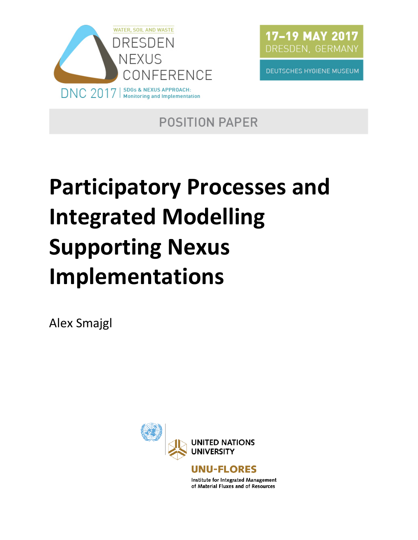



DEUTSCHES HYGIENE MUSEUM

# **POSITION PAPER**

# **Participatory Processes and Integrated Modelling Supporting Nexus Implementations**

Alex Smajgl



Institute for Integrated Management of Material Fluxes and of Resources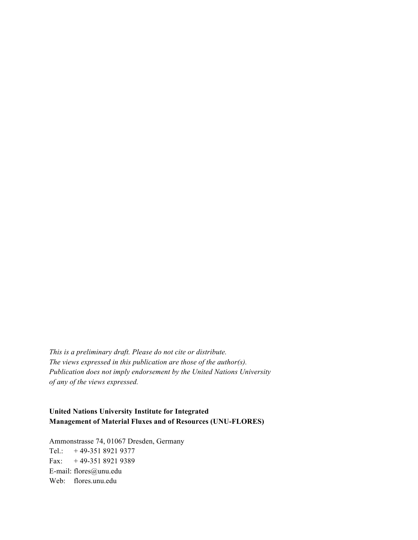*This is a preliminary draft. Please do not cite or distribute. The views expressed in this publication are those of the author(s). Publication does not imply endorsement by the United Nations University of any of the views expressed.*

#### **United Nations University Institute for Integrated Management of Material Fluxes and of Resources (UNU-FLORES)**

Ammonstrasse 74, 01067 Dresden, Germany Tel.:  $+49-35189219377$ Fax:  $+49-35189219389$ E-mail: flores@unu.edu Web: flores.unu.edu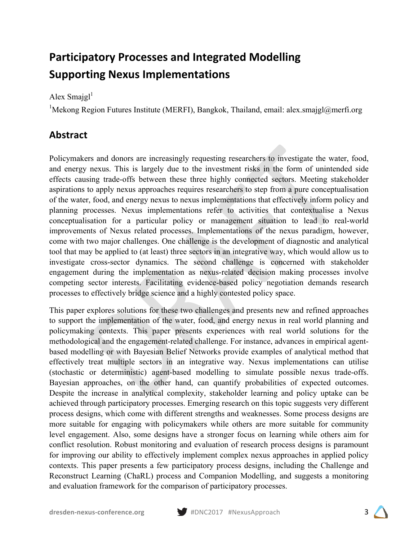# **Participatory Processes and Integrated Modelling Supporting Nexus Implementations**

#### Alex Smajgl $l^1$

<sup>1</sup>Mekong Region Futures Institute (MERFI), Bangkok, Thailand, email: alex.smajgl@merfi.org

### **Abstract**

Policymakers and donors are increasingly requesting researchers to investigate the water, food, and energy nexus. This is largely due to the investment risks in the form of unintended side effects causing trade-offs between these three highly connected sectors. Meeting stakeholder aspirations to apply nexus approaches requires researchers to step from a pure conceptualisation of the water, food, and energy nexus to nexus implementations that effectively inform policy and planning processes. Nexus implementations refer to activities that contextualise a Nexus conceptualisation for a particular policy or management situation to lead to real-world improvements of Nexus related processes. Implementations of the nexus paradigm, however, come with two major challenges. One challenge is the development of diagnostic and analytical tool that may be applied to (at least) three sectors in an integrative way, which would allow us to investigate cross-sector dynamics. The second challenge is concerned with stakeholder engagement during the implementation as nexus-related decision making processes involve competing sector interests. Facilitating evidence-based policy negotiation demands research processes to effectively bridge science and a highly contested policy space.

This paper explores solutions for these two challenges and presents new and refined approaches to support the implementation of the water, food, and energy nexus in real world planning and policymaking contexts. This paper presents experiences with real world solutions for the methodological and the engagement-related challenge. For instance, advances in empirical agentbased modelling or with Bayesian Belief Networks provide examples of analytical method that effectively treat multiple sectors in an integrative way. Nexus implementations can utilise (stochastic or deterministic) agent-based modelling to simulate possible nexus trade-offs. Bayesian approaches, on the other hand, can quantify probabilities of expected outcomes. Despite the increase in analytical complexity, stakeholder learning and policy uptake can be achieved through participatory processes. Emerging research on this topic suggests very different process designs, which come with different strengths and weaknesses. Some process designs are more suitable for engaging with policymakers while others are more suitable for community level engagement. Also, some designs have a stronger focus on learning while others aim for conflict resolution. Robust monitoring and evaluation of research process designs is paramount for improving our ability to effectively implement complex nexus approaches in applied policy contexts. This paper presents a few participatory process designs, including the Challenge and Reconstruct Learning (ChaRL) process and Companion Modelling, and suggests a monitoring and evaluation framework for the comparison of participatory processes.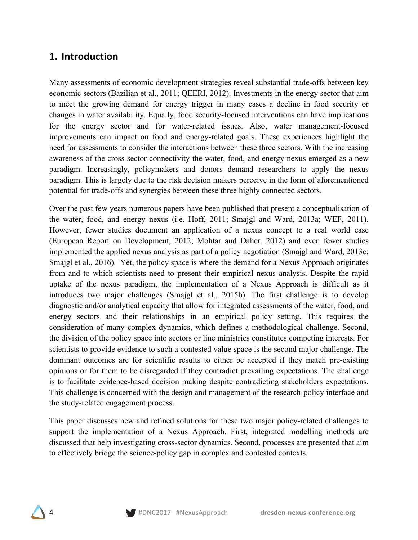## **1. Introduction**

Many assessments of economic development strategies reveal substantial trade-offs between key economic sectors (Bazilian et al., 2011; QEERI, 2012). Investments in the energy sector that aim to meet the growing demand for energy trigger in many cases a decline in food security or changes in water availability. Equally, food security-focused interventions can have implications for the energy sector and for water-related issues. Also, water management-focused improvements can impact on food and energy-related goals. These experiences highlight the need for assessments to consider the interactions between these three sectors. With the increasing awareness of the cross-sector connectivity the water, food, and energy nexus emerged as a new paradigm. Increasingly, policymakers and donors demand researchers to apply the nexus paradigm. This is largely due to the risk decision makers perceive in the form of aforementioned potential for trade-offs and synergies between these three highly connected sectors.

Over the past few years numerous papers have been published that present a conceptualisation of the water, food, and energy nexus (i.e. Hoff, 2011; Smajgl and Ward, 2013a; WEF, 2011). However, fewer studies document an application of a nexus concept to a real world case (European Report on Development, 2012; Mohtar and Daher, 2012) and even fewer studies implemented the applied nexus analysis as part of a policy negotiation (Smajgl and Ward, 2013c; Smajgl et al., 2016). Yet, the policy space is where the demand for a Nexus Approach originates from and to which scientists need to present their empirical nexus analysis. Despite the rapid uptake of the nexus paradigm, the implementation of a Nexus Approach is difficult as it introduces two major challenges (Smajgl et al., 2015b). The first challenge is to develop diagnostic and/or analytical capacity that allow for integrated assessments of the water, food, and energy sectors and their relationships in an empirical policy setting. This requires the consideration of many complex dynamics, which defines a methodological challenge. Second, the division of the policy space into sectors or line ministries constitutes competing interests. For scientists to provide evidence to such a contested value space is the second major challenge. The dominant outcomes are for scientific results to either be accepted if they match pre-existing opinions or for them to be disregarded if they contradict prevailing expectations. The challenge is to facilitate evidence-based decision making despite contradicting stakeholders expectations. This challenge is concerned with the design and management of the research-policy interface and the study-related engagement process.

This paper discusses new and refined solutions for these two major policy-related challenges to support the implementation of a Nexus Approach. First, integrated modelling methods are discussed that help investigating cross-sector dynamics. Second, processes are presented that aim to effectively bridge the science-policy gap in complex and contested contexts.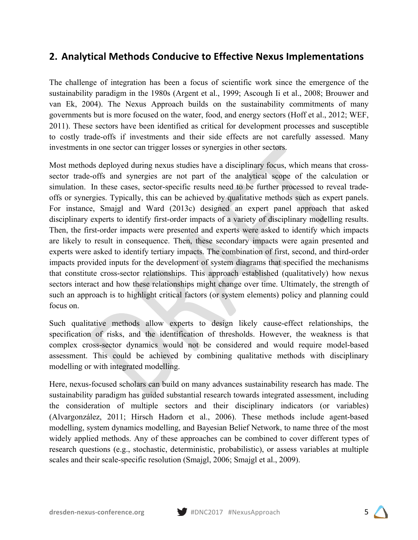#### **2. Analytical Methods Conducive to Effective Nexus Implementations**

The challenge of integration has been a focus of scientific work since the emergence of the sustainability paradigm in the 1980s (Argent et al., 1999; Ascough Ii et al., 2008; Brouwer and van Ek, 2004). The Nexus Approach builds on the sustainability commitments of many governments but is more focused on the water, food, and energy sectors (Hoff et al., 2012; WEF, 2011). These sectors have been identified as critical for development processes and susceptible to costly trade-offs if investments and their side effects are not carefully assessed. Many investments in one sector can trigger losses or synergies in other sectors.

Most methods deployed during nexus studies have a disciplinary focus, which means that crosssector trade-offs and synergies are not part of the analytical scope of the calculation or simulation. In these cases, sector-specific results need to be further processed to reveal tradeoffs or synergies. Typically, this can be achieved by qualitative methods such as expert panels. For instance, Smajgl and Ward (2013c) designed an expert panel approach that asked disciplinary experts to identify first-order impacts of a variety of disciplinary modelling results. Then, the first-order impacts were presented and experts were asked to identify which impacts are likely to result in consequence. Then, these secondary impacts were again presented and experts were asked to identify tertiary impacts. The combination of first, second, and third-order impacts provided inputs for the development of system diagrams that specified the mechanisms that constitute cross-sector relationships. This approach established (qualitatively) how nexus sectors interact and how these relationships might change over time. Ultimately, the strength of such an approach is to highlight critical factors (or system elements) policy and planning could focus on.

Such qualitative methods allow experts to design likely cause-effect relationships, the specification of risks, and the identification of thresholds. However, the weakness is that complex cross-sector dynamics would not be considered and would require model-based assessment. This could be achieved by combining qualitative methods with disciplinary modelling or with integrated modelling.

Here, nexus-focused scholars can build on many advances sustainability research has made. The sustainability paradigm has guided substantial research towards integrated assessment, including the consideration of multiple sectors and their disciplinary indicators (or variables) (Alvargonzález, 2011; Hirsch Hadorn et al., 2006). These methods include agent-based modelling, system dynamics modelling, and Bayesian Belief Network, to name three of the most widely applied methods. Any of these approaches can be combined to cover different types of research questions (e.g., stochastic, deterministic, probabilistic), or assess variables at multiple scales and their scale-specific resolution (Smajgl, 2006; Smajgl et al., 2009).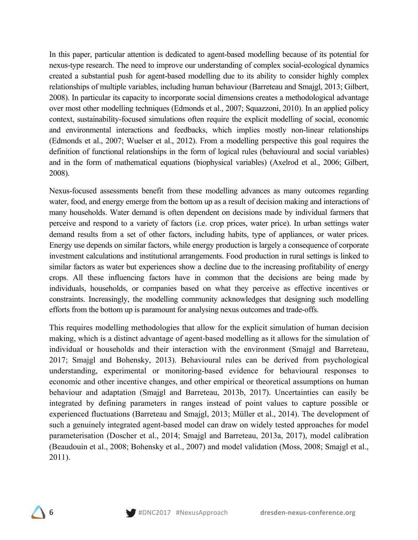In this paper, particular attention is dedicated to agent-based modelling because of its potential for nexus-type research. The need to improve our understanding of complex social-ecological dynamics created a substantial push for agent-based modelling due to its ability to consider highly complex relationships of multiple variables, including human behaviour (Barreteau and Smajgl, 2013; Gilbert, 2008). In particular its capacity to incorporate social dimensions creates a methodological advantage over most other modelling techniques (Edmonds et al., 2007; Squazzoni, 2010). In an applied policy context, sustainability-focused simulations often require the explicit modelling of social, economic and environmental interactions and feedbacks, which implies mostly non-linear relationships (Edmonds et al., 2007; Wuelser et al., 2012). From a modelling perspective this goal requires the definition of functional relationships in the form of logical rules (behavioural and social variables) and in the form of mathematical equations (biophysical variables) (Axelrod et al., 2006; Gilbert, 2008).

Nexus-focused assessments benefit from these modelling advances as many outcomes regarding water, food, and energy emerge from the bottom up as a result of decision making and interactions of many households. Water demand is often dependent on decisions made by individual farmers that perceive and respond to a variety of factors (i.e. crop prices, water price). In urban settings water demand results from a set of other factors, including habits, type of appliances, or water prices. Energy use depends on similar factors, while energy production is largely a consequence of corporate investment calculations and institutional arrangements. Food production in rural settings is linked to similar factors as water but experiences show a decline due to the increasing profitability of energy crops. All these influencing factors have in common that the decisions are being made by individuals, households, or companies based on what they perceive as effective incentives or constraints. Increasingly, the modelling community acknowledges that designing such modelling efforts from the bottom up is paramount for analysing nexus outcomes and trade-offs.

This requires modelling methodologies that allow for the explicit simulation of human decision making, which is a distinct advantage of agent-based modelling as it allows for the simulation of individual or households and their interaction with the environment (Smajgl and Barreteau, 2017; Smajgl and Bohensky, 2013). Behavioural rules can be derived from psychological understanding, experimental or monitoring-based evidence for behavioural responses to economic and other incentive changes, and other empirical or theoretical assumptions on human behaviour and adaptation (Smajgl and Barreteau, 2013b, 2017). Uncertainties can easily be integrated by defining parameters in ranges instead of point values to capture possible or experienced fluctuations (Barreteau and Smajgl, 2013; Müller et al., 2014). The development of such a genuinely integrated agent-based model can draw on widely tested approaches for model parameterisation (Doscher et al., 2014; Smajgl and Barreteau, 2013a, 2017), model calibration (Beaudouin et al., 2008; Bohensky et al., 2007) and model validation (Moss, 2008; Smajgl et al., 2011).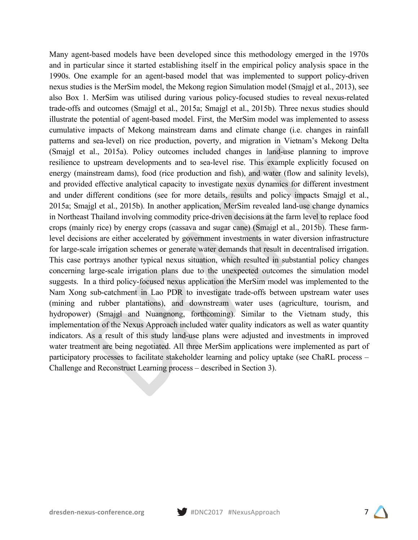Many agent-based models have been developed since this methodology emerged in the 1970s and in particular since it started establishing itself in the empirical policy analysis space in the 1990s. One example for an agent-based model that was implemented to support policy-driven nexus studies is the MerSim model, the Mekong region Simulation model (Smajgl et al., 2013), see also Box 1. MerSim was utilised during various policy-focused studies to reveal nexus-related trade-offs and outcomes (Smajgl et al., 2015a; Smajgl et al., 2015b). Three nexus studies should illustrate the potential of agent-based model. First, the MerSim model was implemented to assess cumulative impacts of Mekong mainstream dams and climate change (i.e. changes in rainfall patterns and sea-level) on rice production, poverty, and migration in Vietnam's Mekong Delta (Smajgl et al., 2015a). Policy outcomes included changes in land-use planning to improve resilience to upstream developments and to sea-level rise. This example explicitly focused on energy (mainstream dams), food (rice production and fish), and water (flow and salinity levels), and provided effective analytical capacity to investigate nexus dynamics for different investment and under different conditions (see for more details, results and policy impacts Smajgl et al., 2015a; Smajgl et al., 2015b). In another application, MerSim revealed land-use change dynamics in Northeast Thailand involving commodity price-driven decisions at the farm level to replace food crops (mainly rice) by energy crops (cassava and sugar cane) (Smajgl et al., 2015b). These farmlevel decisions are either accelerated by government investments in water diversion infrastructure for large-scale irrigation schemes or generate water demands that result in decentralised irrigation. This case portrays another typical nexus situation, which resulted in substantial policy changes concerning large-scale irrigation plans due to the unexpected outcomes the simulation model suggests. In a third policy-focused nexus application the MerSim model was implemented to the Nam Xong sub-catchment in Lao PDR to investigate trade-offs between upstream water uses (mining and rubber plantations), and downstream water uses (agriculture, tourism, and hydropower) (Smajgl and Nuangnong, forthcoming). Similar to the Vietnam study, this implementation of the Nexus Approach included water quality indicators as well as water quantity indicators. As a result of this study land-use plans were adjusted and investments in improved water treatment are being negotiated. All three MerSim applications were implemented as part of participatory processes to facilitate stakeholder learning and policy uptake (see ChaRL process – Challenge and Reconstruct Learning process – described in Section 3).

$$
^{\prime}~\ell
$$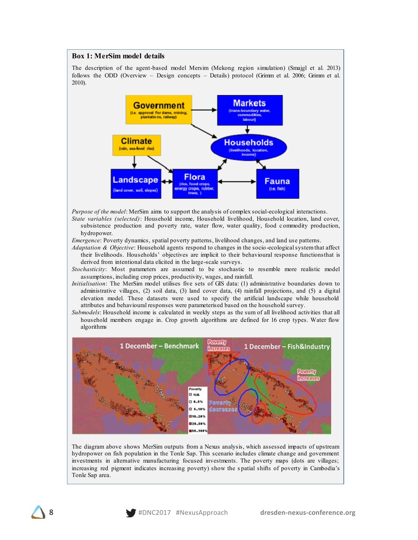#### **Box 1: MerSim model details**

The description of the agent-based model Mersim (Mekong region simulation) (Smajgl et al. 2013) follows the ODD (Overview – Design concepts – Details) protocol (Grimm et al. 2006; Grimm et al. 2010).



*Purpose of the model*: MerSim aims to support the analysis of complex social-ecological interactions. *State variables (selected)*: Household income, Household livelihood, Household location, land cover, subsistence production and poverty rate, water flow, water quality, food c ommodity production, hydropower.

*Emergence*: Poverty dynamics, spatial poverty patterns, livelihood changes, and land use patterns.

- *Adaptation & Objective*: Household agents respond to changes in the socio-ecological system that affect their livelihoods. Households' objectives are implicit to their behavioural response functionsthat is derived from intentional data elicited in the large-scale surveys.
- *Stochasticity*: Most parameters are assumed to be stochastic to resemble more realistic model assumptions, including crop prices, productivity, wages, and rainfall.
- *Initialisation*: The MerSim model utilises five sets of GIS data: (1) administrative boundaries down to administrative villages, (2) soil data, (3) land cover data, (4) rainfall projections, and (5) a digital elevation model. These datasets were used to specify the artificial landscape while household attributes and behavioural responses were parameterised based on the household survey.
- *Submodels*: Household income is calculated in weekly steps as the sum of all livelihood activities that all household members engage in. Crop growth algorithms are defined for 16 crop types. Water flow algorithms



The diagram above shows MerSim outputs from a Nexus analysis, which assessed impacts of upstream hydropower on fish population in the Tonle Sap. This scenario includes climate change and government investments in alternative manufacturing focused investments. The poverty maps (dots are villages; increasing red pigment indicates increasing poverty) show the s patial shifts of poverty in Cambodia's Tonle Sap area.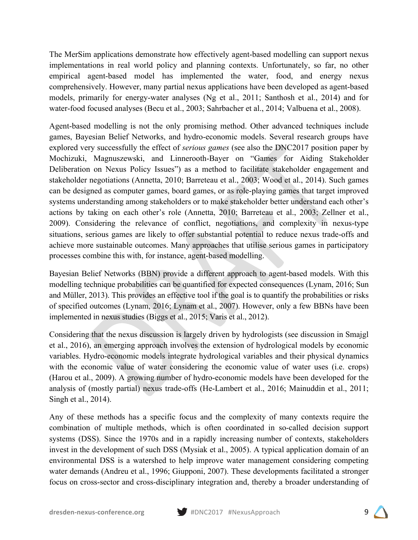The MerSim applications demonstrate how effectively agent-based modelling can support nexus implementations in real world policy and planning contexts. Unfortunately, so far, no other empirical agent-based model has implemented the water, food, and energy nexus comprehensively. However, many partial nexus applications have been developed as agent-based models, primarily for energy-water analyses (Ng et al., 2011; Santhosh et al., 2014) and for water-food focused analyses (Becu et al., 2003; Sahrbacher et al., 2014; Valbuena et al., 2008).

Agent-based modelling is not the only promising method. Other advanced techniques include games, Bayesian Belief Networks, and hydro-economic models. Several research groups have explored very successfully the effect of *serious games* (see also the DNC2017 position paper by Mochizuki, Magnuszewski, and Linnerooth-Bayer on "Games for Aiding Stakeholder Deliberation on Nexus Policy Issues") as a method to facilitate stakeholder engagement and stakeholder negotiations (Annetta, 2010; Barreteau et al., 2003; Wood et al., 2014). Such games can be designed as computer games, board games, or as role-playing games that target improved systems understanding among stakeholders or to make stakeholder better understand each other's actions by taking on each other's role (Annetta, 2010; Barreteau et al., 2003; Zellner et al., 2009). Considering the relevance of conflict, negotiations, and complexity in nexus-type situations, serious games are likely to offer substantial potential to reduce nexus trade-offs and achieve more sustainable outcomes. Many approaches that utilise serious games in participatory processes combine this with, for instance, agent-based modelling.

Bayesian Belief Networks (BBN) provide a different approach to agent-based models. With this modelling technique probabilities can be quantified for expected consequences (Lynam, 2016; Sun and Müller, 2013). This provides an effective tool if the goal is to quantify the probabilities or risks of specified outcomes (Lynam, 2016; Lynam et al., 2007). However, only a few BBNs have been implemented in nexus studies (Biggs et al., 2015; Varis et al., 2012).

Considering that the nexus discussion is largely driven by hydrologists (see discussion in Smajgl et al., 2016), an emerging approach involves the extension of hydrological models by economic variables. Hydro-economic models integrate hydrological variables and their physical dynamics with the economic value of water considering the economic value of water uses (i.e. crops) (Harou et al., 2009). A growing number of hydro-economic models have been developed for the analysis of (mostly partial) nexus trade-offs (He-Lambert et al., 2016; Mainuddin et al., 2011; Singh et al., 2014).

Any of these methods has a specific focus and the complexity of many contexts require the combination of multiple methods, which is often coordinated in so-called decision support systems (DSS). Since the 1970s and in a rapidly increasing number of contexts, stakeholders invest in the development of such DSS (Mysiak et al., 2005). A typical application domain of an environmental DSS is a watershed to help improve water management considering competing water demands (Andreu et al., 1996; Giupponi, 2007). These developments facilitated a stronger focus on cross-sector and cross-disciplinary integration and, thereby a broader understanding of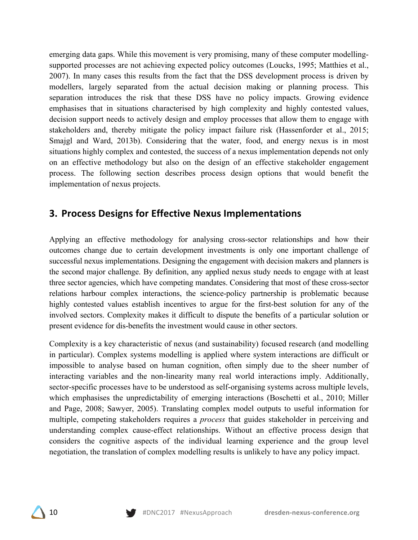emerging data gaps. While this movement is very promising, many of these computer modellingsupported processes are not achieving expected policy outcomes (Loucks, 1995; Matthies et al., 2007). In many cases this results from the fact that the DSS development process is driven by modellers, largely separated from the actual decision making or planning process. This separation introduces the risk that these DSS have no policy impacts. Growing evidence emphasises that in situations characterised by high complexity and highly contested values, decision support needs to actively design and employ processes that allow them to engage with stakeholders and, thereby mitigate the policy impact failure risk (Hassenforder et al., 2015; Smajgl and Ward, 2013b). Considering that the water, food, and energy nexus is in most situations highly complex and contested, the success of a nexus implementation depends not only on an effective methodology but also on the design of an effective stakeholder engagement process. The following section describes process design options that would benefit the implementation of nexus projects.

### **3. Process Designs for Effective Nexus Implementations**

Applying an effective methodology for analysing cross-sector relationships and how their outcomes change due to certain development investments is only one important challenge of successful nexus implementations. Designing the engagement with decision makers and planners is the second major challenge. By definition, any applied nexus study needs to engage with at least three sector agencies, which have competing mandates. Considering that most of these cross-sector relations harbour complex interactions, the science-policy partnership is problematic because highly contested values establish incentives to argue for the first-best solution for any of the involved sectors. Complexity makes it difficult to dispute the benefits of a particular solution or present evidence for dis-benefits the investment would cause in other sectors.

Complexity is a key characteristic of nexus (and sustainability) focused research (and modelling in particular). Complex systems modelling is applied where system interactions are difficult or impossible to analyse based on human cognition, often simply due to the sheer number of interacting variables and the non-linearity many real world interactions imply. Additionally, sector-specific processes have to be understood as self-organising systems across multiple levels, which emphasises the unpredictability of emerging interactions (Boschetti et al., 2010; Miller and Page, 2008; Sawyer, 2005). Translating complex model outputs to useful information for multiple, competing stakeholders requires a *process* that guides stakeholder in perceiving and understanding complex cause-effect relationships. Without an effective process design that considers the cognitive aspects of the individual learning experience and the group level negotiation, the translation of complex modelling results is unlikely to have any policy impact.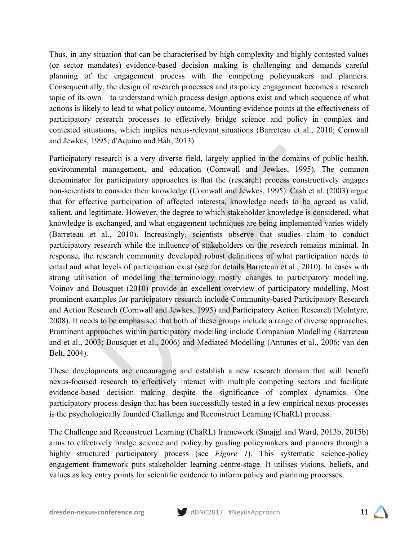Thus, in any situation that can be characterised by high complexity and highly contested values (or sector mandates) evidence-based decision making is challenging and demands careful planning of the engagement process with the competing policymakers and planners. Consequentially, the design of research processes and its policy engagement becomes a research topic of its own – to understand which process design options exist and which sequence of what actions is likely to lead to what policy outcome. Mounting evidence points at the effectiveness of participatory research processes to effectively bridge science and policy in complex and contested situations, which implies nexus-relevant situations (Barreteau et al., 2010; Cornwall and Jewkes, 1995; d'Aquino and Bah, 2013).

Participatory research is a very diverse field, largely applied in the domains of public health, environmental management, and education (Cornwall and Jewkes, 1995). The common denominator for participatory approaches is that the (research) process constructively engages non-scientists to consider their knowledge (Cornwall and Jewkes, 1995). Cash et al. (2003) argue that for effective participation of affected interests, knowledge needs to be agreed as valid, salient, and legitimate. However, the degree to which stakeholder knowledge is considered, what knowledge is exchanged, and what engagement techniques are being implemented varies widely (Barreteau et al., 2010). Increasingly, scientists observe that studies claim to conduct participatory research while the influence of stakeholders on the research remains minimal. In response, the research community developed robust definitions of what participation needs to entail and what levels of participation exist (see for details Barreteau et al., 2010). In cases with strong utilisation of modelling the terminology mostly changes to participatory modelling. Voinov and Bousquet (2010) provide an excellent overview of participatory modelling. Most prominent examples for participatory research include Community-based Participatory Research and Action Research (Cornwall and Jewkes, 1995) and Participatory Action Research (McIntyre, 2008). It needs to be emphasised that both of these groups include a range of diverse approaches. Prominent approaches within participatory modelling include Companion Modelling (Barreteau and et al., 2003; Bousquet et al., 2006) and Mediated Modelling (Antunes et al., 2006; van den Belt, 2004).

These developments are encouraging and establish a new research domain that will benefit nexus-focused research to effectively interact with multiple competing sectors and facilitate evidence-based decision making despite the significance of complex dynamics. One participatory process design that has been successfully tested in a few empirical nexus processes is the psychologically founded Challenge and Reconstruct Learning (ChaRL) process.

The Challenge and Reconstruct Learning (ChaRL) framework (Smajgl and Ward, 2013b, 2015b) aims to effectively bridge science and policy by guiding policymakers and planners through a highly structured participatory process (see *Figure 1*). This systematic science-policy engagement framework puts stakeholder learning centre-stage. It utilises visions, beliefs, and values as key entry points for scientific evidence to inform policy and planning processes.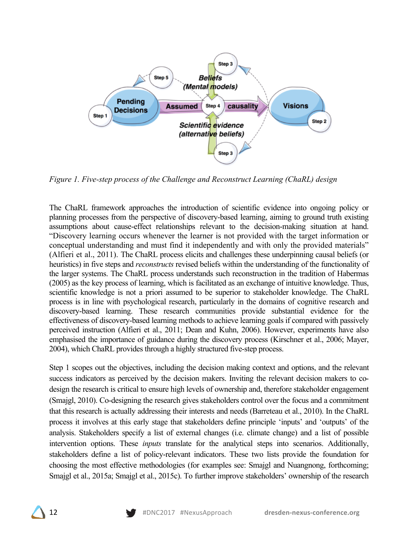

*Figure 1. Five-step process of the Challenge and Reconstruct Learning (ChaRL) design*

The ChaRL framework approaches the introduction of scientific evidence into ongoing policy or planning processes from the perspective of discovery-based learning, aiming to ground truth existing assumptions about cause-effect relationships relevant to the decision-making situation at hand. "Discovery learning occurs whenever the learner is not provided with the target information or conceptual understanding and must find it independently and with only the provided materials" (Alfieri et al., 2011). The ChaRL process elicits and challenges these underpinning causal beliefs (or heuristics) in five steps and *reconstructs* revised beliefs within the understanding of the functionality of the larger systems. The ChaRL process understands such reconstruction in the tradition of Habermas (2005) as the key process of learning, which is facilitated as an exchange of intuitive knowledge. Thus, scientific knowledge is not a priori assumed to be superior to stakeholder knowledge. The ChaRL process is in line with psychological research, particularly in the domains of cognitive research and discovery-based learning. These research communities provide substantial evidence for the effectiveness of discovery-based learning methods to achieve learning goals if compared with passively perceived instruction (Alfieri et al., 2011; Dean and Kuhn, 2006). However, experiments have also emphasised the importance of guidance during the discovery process (Kirschner et al., 2006; Mayer, 2004), which ChaRL provides through a highly structured five-step process.

Step 1 scopes out the objectives, including the decision making context and options, and the relevant success indicators as perceived by the decision makers. Inviting the relevant decision makers to codesign the research is critical to ensure high levels of ownership and, therefore stakeholder engagement (Smajgl, 2010). Co-designing the research gives stakeholders control over the focus and a commitment that this research is actually addressing their interests and needs (Barreteau et al., 2010). In the ChaRL process it involves at this early stage that stakeholders define principle 'inputs' and 'outputs' of the analysis. Stakeholders specify a list of external changes (i.e. climate change) and a list of possible intervention options. These *inputs* translate for the analytical steps into scenarios. Additionally, stakeholders define a list of policy-relevant indicators. These two lists provide the foundation for choosing the most effective methodologies (for examples see: Smajgl and Nuangnong, forthcoming; Smajgl et al., 2015a; Smajgl et al., 2015c). To further improve stakeholders' ownership of the research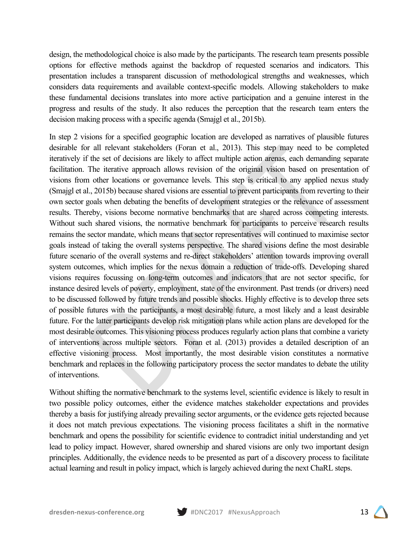design, the methodological choice is also made by the participants. The research team presents possible options for effective methods against the backdrop of requested scenarios and indicators. This presentation includes a transparent discussion of methodological strengths and weaknesses, which considers data requirements and available context-specific models. Allowing stakeholders to make these fundamental decisions translates into more active participation and a genuine interest in the progress and results of the study. It also reduces the perception that the research team enters the decision making process with a specific agenda (Smajgl et al., 2015b).

In step 2 visions for a specified geographic location are developed as narratives of plausible futures desirable for all relevant stakeholders (Foran et al., 2013). This step may need to be completed iteratively if the set of decisions are likely to affect multiple action arenas, each demanding separate facilitation. The iterative approach allows revision of the original vision based on presentation of visions from other locations or governance levels. This step is critical to any applied nexus study (Smajgl et al., 2015b) because shared visions are essential to prevent participants from reverting to their own sector goals when debating the benefits of development strategies or the relevance of assessment results. Thereby, visions become normative benchmarks that are shared across competing interests. Without such shared visions, the normative benchmark for participants to perceive research results remains the sector mandate, which means that sector representatives will continued to maximise sector goals instead of taking the overall systems perspective. The shared visions define the most desirable future scenario of the overall systems and re-direct stakeholders' attention towards improving overall system outcomes, which implies for the nexus domain a reduction of trade-offs. Developing shared visions requires focussing on long-term outcomes and indicators that are not sector specific, for instance desired levels of poverty, employment, state of the environment. Past trends (or drivers) need to be discussed followed by future trends and possible shocks. Highly effective is to develop three sets of possible futures with the participants, a most desirable future, a most likely and a least desirable future. For the latter participants develop risk mitigation plans while action plans are developed for the most desirable outcomes. This visioning process produces regularly action plans that combine a variety of interventions across multiple sectors. Foran et al. (2013) provides a detailed description of an effective visioning process. Most importantly, the most desirable vision constitutes a normative benchmark and replaces in the following participatory process the sector mandates to debate the utility of interventions.

Without shifting the normative benchmark to the systems level, scientific evidence is likely to result in two possible policy outcomes, either the evidence matches stakeholder expectations and provides thereby a basis for justifying already prevailing sector arguments, or the evidence gets rejected because it does not match previous expectations. The visioning process facilitates a shift in the normative benchmark and opens the possibility for scientific evidence to contradict initial understanding and yet lead to policy impact. However, shared ownership and shared visions are only two important design principles. Additionally, the evidence needs to be presented as part of a discovery process to facilitate actual learning and result in policy impact, which is largely achieved during the next ChaRL steps.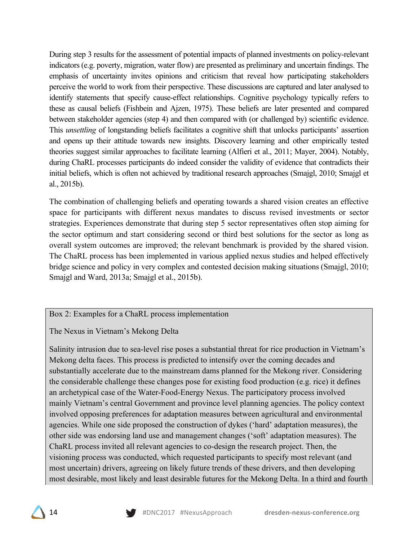During step 3 results for the assessment of potential impacts of planned investments on policy-relevant indicators (e.g. poverty, migration, water flow) are presented as preliminary and uncertain findings. The emphasis of uncertainty invites opinions and criticism that reveal how participating stakeholders perceive the world to work from their perspective. These discussions are captured and later analysed to identify statements that specify cause-effect relationships. Cognitive psychology typically refers to these as causal beliefs (Fishbein and Ajzen, 1975). These beliefs are later presented and compared between stakeholder agencies (step 4) and then compared with (or challenged by) scientific evidence. This *unsettling* of longstanding beliefs facilitates a cognitive shift that unlocks participants' assertion and opens up their attitude towards new insights. Discovery learning and other empirically tested theories suggest similar approaches to facilitate learning (Alfieri et al., 2011; Mayer, 2004). Notably, during ChaRL processes participants do indeed consider the validity of evidence that contradicts their initial beliefs, which is often not achieved by traditional research approaches (Smajgl, 2010; Smajgl et al., 2015b).

The combination of challenging beliefs and operating towards a shared vision creates an effective space for participants with different nexus mandates to discuss revised investments or sector strategies. Experiences demonstrate that during step 5 sector representatives often stop aiming for the sector optimum and start considering second or third best solutions for the sector as long as overall system outcomes are improved; the relevant benchmark is provided by the shared vision. The ChaRL process has been implemented in various applied nexus studies and helped effectively bridge science and policy in very complex and contested decision making situations (Smajgl, 2010; Smajgl and Ward, 2013a; Smajgl et al., 2015b).

Box 2: Examples for a ChaRL process implementation

The Nexus in Vietnam's Mekong Delta

Salinity intrusion due to sea-level rise poses a substantial threat for rice production in Vietnam's Mekong delta faces. This process is predicted to intensify over the coming decades and substantially accelerate due to the mainstream dams planned for the Mekong river. Considering the considerable challenge these changes pose for existing food production (e.g. rice) it defines an archetypical case of the Water-Food-Energy Nexus. The participatory process involved mainly Vietnam's central Government and province level planning agencies. The policy context involved opposing preferences for adaptation measures between agricultural and environmental agencies. While one side proposed the construction of dykes ('hard' adaptation measures), the other side was endorsing land use and management changes ('soft' adaptation measures). The ChaRL process invited all relevant agencies to co-design the research project. Then, the visioning process was conducted, which requested participants to specify most relevant (and most uncertain) drivers, agreeing on likely future trends of these drivers, and then developing most desirable, most likely and least desirable futures for the Mekong Delta. In a third and fourth

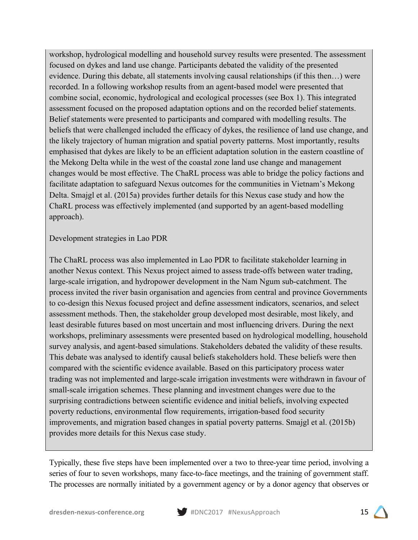workshop, hydrological modelling and household survey results were presented. The assessment focused on dykes and land use change. Participants debated the validity of the presented evidence. During this debate, all statements involving causal relationships (if this then…) were recorded. In a following workshop results from an agent-based model were presented that combine social, economic, hydrological and ecological processes (see Box 1). This integrated assessment focused on the proposed adaptation options and on the recorded belief statements. Belief statements were presented to participants and compared with modelling results. The beliefs that were challenged included the efficacy of dykes, the resilience of land use change, and the likely trajectory of human migration and spatial poverty patterns. Most importantly, results emphasised that dykes are likely to be an efficient adaptation solution in the eastern coastline of the Mekong Delta while in the west of the coastal zone land use change and management changes would be most effective. The ChaRL process was able to bridge the policy factions and facilitate adaptation to safeguard Nexus outcomes for the communities in Vietnam's Mekong Delta. Smajgl et al. (2015a) provides further details for this Nexus case study and how the ChaRL process was effectively implemented (and supported by an agent-based modelling approach).

Development strategies in Lao PDR

The ChaRL process was also implemented in Lao PDR to facilitate stakeholder learning in another Nexus context. This Nexus project aimed to assess trade-offs between water trading, large-scale irrigation, and hydropower development in the Nam Ngum sub-catchment. The process invited the river basin organisation and agencies from central and province Governments to co-design this Nexus focused project and define assessment indicators, scenarios, and select assessment methods. Then, the stakeholder group developed most desirable, most likely, and least desirable futures based on most uncertain and most influencing drivers. During the next workshops, preliminary assessments were presented based on hydrological modelling, household survey analysis, and agent-based simulations. Stakeholders debated the validity of these results. This debate was analysed to identify causal beliefs stakeholders hold. These beliefs were then compared with the scientific evidence available. Based on this participatory process water trading was not implemented and large-scale irrigation investments were withdrawn in favour of small-scale irrigation schemes. These planning and investment changes were due to the surprising contradictions between scientific evidence and initial beliefs, involving expected poverty reductions, environmental flow requirements, irrigation-based food security improvements, and migration based changes in spatial poverty patterns. Smajgl et al. (2015b) provides more details for this Nexus case study.

Typically, these five steps have been implemented over a two to three-year time period, involving a series of four to seven workshops, many face-to-face meetings, and the training of government staff. The processes are normally initiated by a government agency or by a donor agency that observes or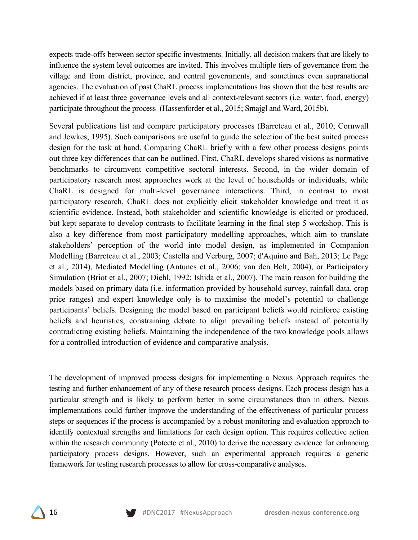expects trade-offs between sector specific investments. Initially, all decision makers that are likely to influence the system level outcomes are invited. This involves multiple tiers of governance from the village and from district, province, and central governments, and sometimes even supranational agencies. The evaluation of past ChaRL process implementations has shown that the best results are achieved if at least three governance levels and all context-relevant sectors (i.e. water, food, energy) participate throughout the process (Hassenforder et al., 2015; Smajgl and Ward, 2015b).

Several publications list and compare participatory processes (Barreteau et al., 2010; Cornwall and Jewkes, 1995). Such comparisons are useful to guide the selection of the best suited process design for the task at hand. Comparing ChaRL briefly with a few other process designs points out three key differences that can be outlined. First, ChaRL develops shared visions as normative benchmarks to circumvent competitive sectoral interests. Second, in the wider domain of participatory research most approaches work at the level of households or individuals, while ChaRL is designed for multi-level governance interactions. Third, in contrast to most participatory research, ChaRL does not explicitly elicit stakeholder knowledge and treat it as scientific evidence. Instead, both stakeholder and scientific knowledge is elicited or produced, but kept separate to develop contrasts to facilitate learning in the final step 5 workshop. This is also a key difference from most participatory modelling approaches, which aim to translate stakeholders' perception of the world into model design, as implemented in Companion Modelling (Barreteau et al., 2003; Castella and Verburg, 2007; d'Aquino and Bah, 2013; Le Page et al., 2014), Mediated Modelling (Antunes et al., 2006; van den Belt, 2004), or Participatory Simulation (Briot et al., 2007; Diehl, 1992; Ishida et al., 2007). The main reason for building the models based on primary data (i.e. information provided by household survey, rainfall data, crop price ranges) and expert knowledge only is to maximise the model's potential to challenge participants' beliefs. Designing the model based on participant beliefs would reinforce existing beliefs and heuristics, constraining debate to align prevailing beliefs instead of potentially contradicting existing beliefs. Maintaining the independence of the two knowledge pools allows for a controlled introduction of evidence and comparative analysis.

The development of improved process designs for implementing a Nexus Approach requires the testing and further enhancement of any of these research process designs. Each process design has a particular strength and is likely to perform better in some circumstances than in others. Nexus implementations could further improve the understanding of the effectiveness of particular process steps or sequences if the process is accompanied by a robust monitoring and evaluation approach to identify contextual strengths and limitations for each design option. This requires collective action within the research community (Poteete et al., 2010) to derive the necessary evidence for enhancing participatory process designs. However, such an experimental approach requires a generic framework for testing research processes to allow for cross-comparative analyses.

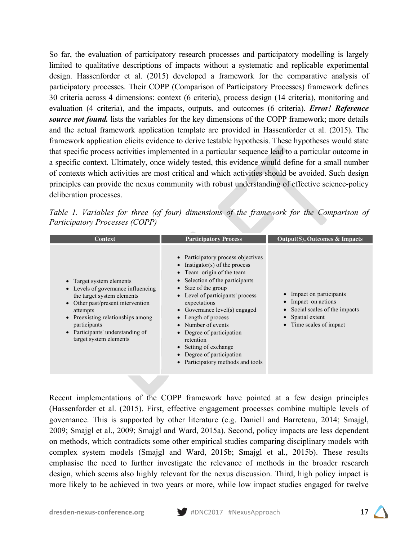So far, the evaluation of participatory research processes and participatory modelling is largely limited to qualitative descriptions of impacts without a systematic and replicable experimental design. Hassenforder et al. (2015) developed a framework for the comparative analysis of participatory processes. Their COPP (Comparison of Participatory Processes) framework defines 30 criteria across 4 dimensions: context (6 criteria), process design (14 criteria), monitoring and evaluation (4 criteria), and the impacts, outputs, and outcomes (6 criteria). *Error! Reference source not found.* lists the variables for the key dimensions of the COPP framework; more details and the actual framework application template are provided in Hassenforder et al. (2015). The framework application elicits evidence to derive testable hypothesis. These hypotheses would state that specific process activities implemented in a particular sequence lead to a particular outcome in a specific context. Ultimately, once widely tested, this evidence would define for a small number of contexts which activities are most critical and which activities should be avoided. Such design principles can provide the nexus community with robust understanding of effective science-policy deliberation processes.

*Table 1. Variables for three (of four) dimensions of the framework for the Comparison of Participatory Processes (COPP)*

| <b>Context</b><br>• Target system elements<br>Levels of governance influencing<br>$\bullet$                                                                                                                                     | <b>Participatory Process</b><br>• Participatory process objectives<br>Instigator(s) of the process<br>$\bullet$<br>• Team origin of the team<br>Selection of the participants<br>$\bullet$<br>Size of the group<br>$\bullet$                                                                                           | <b>Output(S), Outcomes &amp; Impacts</b>                                                                                                         |
|---------------------------------------------------------------------------------------------------------------------------------------------------------------------------------------------------------------------------------|------------------------------------------------------------------------------------------------------------------------------------------------------------------------------------------------------------------------------------------------------------------------------------------------------------------------|--------------------------------------------------------------------------------------------------------------------------------------------------|
| the target system elements<br>Other past/present intervention<br>$\bullet$<br>attempts<br>Preexisting relationships among<br>$\bullet$<br>participants<br>Participants' understanding of<br>$\bullet$<br>target system elements | • Level of participants' process<br>expectations<br>Governance level(s) engaged<br>$\bullet$<br>Length of process<br>$\bullet$<br>Number of events<br>Degree of participation<br>$\bullet$<br>retention<br>Setting of exchange<br>$\bullet$<br>Degree of participation<br>$\bullet$<br>Participatory methods and tools | Impact on participants<br>Impact on actions<br>Social scales of the impacts<br>$\bullet$<br>Spatial extent<br>Time scales of impact<br>$\bullet$ |

Recent implementations of the COPP framework have pointed at a few design principles (Hassenforder et al. (2015). First, effective engagement processes combine multiple levels of governance. This is supported by other literature (e.g. Daniell and Barreteau, 2014; Smajgl, 2009; Smajgl et al., 2009; Smajgl and Ward, 2015a). Second, policy impacts are less dependent on methods, which contradicts some other empirical studies comparing disciplinary models with complex system models (Smajgl and Ward, 2015b; Smajgl et al., 2015b). These results emphasise the need to further investigate the relevance of methods in the broader research design, which seems also highly relevant for the nexus discussion. Third, high policy impact is more likely to be achieved in two years or more, while low impact studies engaged for twelve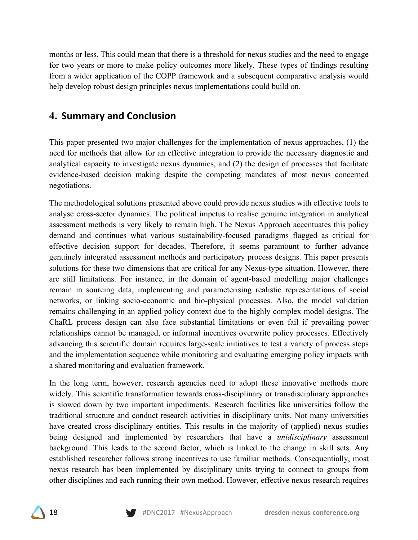months or less. This could mean that there is a threshold for nexus studies and the need to engage for two years or more to make policy outcomes more likely. These types of findings resulting from a wider application of the COPP framework and a subsequent comparative analysis would help develop robust design principles nexus implementations could build on.

## **4. Summary and Conclusion**

This paper presented two major challenges for the implementation of nexus approaches, (1) the need for methods that allow for an effective integration to provide the necessary diagnostic and analytical capacity to investigate nexus dynamics, and (2) the design of processes that facilitate evidence-based decision making despite the competing mandates of most nexus concerned negotiations.

The methodological solutions presented above could provide nexus studies with effective tools to analyse cross-sector dynamics. The political impetus to realise genuine integration in analytical assessment methods is very likely to remain high. The Nexus Approach accentuates this policy demand and continues what various sustainability-focused paradigms flagged as critical for effective decision support for decades. Therefore, it seems paramount to further advance genuinely integrated assessment methods and participatory process designs. This paper presents solutions for these two dimensions that are critical for any Nexus-type situation. However, there are still limitations. For instance, in the domain of agent-based modelling major challenges remain in sourcing data, implementing and parameterising realistic representations of social networks, or linking socio-economic and bio-physical processes. Also, the model validation remains challenging in an applied policy context due to the highly complex model designs. The ChaRL process design can also face substantial limitations or even fail if prevailing power relationships cannot be managed, or informal incentives overwrite policy processes. Effectively advancing this scientific domain requires large-scale initiatives to test a variety of process steps and the implementation sequence while monitoring and evaluating emerging policy impacts with a shared monitoring and evaluation framework.

In the long term, however, research agencies need to adopt these innovative methods more widely. This scientific transformation towards cross-disciplinary or transdisciplinary approaches is slowed down by two important impediments. Research facilities like universities follow the traditional structure and conduct research activities in disciplinary units. Not many universities have created cross-disciplinary entities. This results in the majority of (applied) nexus studies being designed and implemented by researchers that have a *unidisciplinary* assessment background. This leads to the second factor, which is linked to the change in skill sets. Any established researcher follows strong incentives to use familiar methods. Consequentially, most nexus research has been implemented by disciplinary units trying to connect to groups from other disciplines and each running their own method. However, effective nexus research requires

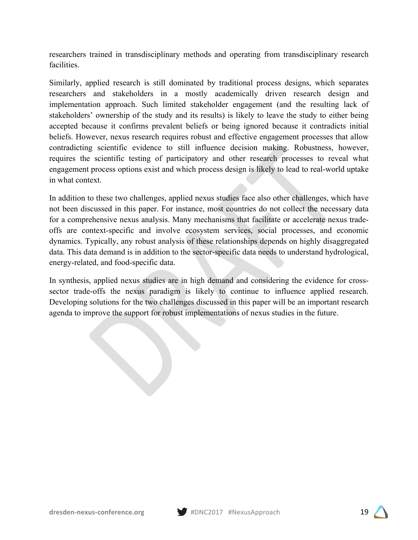researchers trained in transdisciplinary methods and operating from transdisciplinary research facilities.

Similarly, applied research is still dominated by traditional process designs, which separates researchers and stakeholders in a mostly academically driven research design and implementation approach. Such limited stakeholder engagement (and the resulting lack of stakeholders' ownership of the study and its results) is likely to leave the study to either being accepted because it confirms prevalent beliefs or being ignored because it contradicts initial beliefs. However, nexus research requires robust and effective engagement processes that allow contradicting scientific evidence to still influence decision making. Robustness, however, requires the scientific testing of participatory and other research processes to reveal what engagement process options exist and which process design is likely to lead to real-world uptake in what context.

In addition to these two challenges, applied nexus studies face also other challenges, which have not been discussed in this paper. For instance, most countries do not collect the necessary data for a comprehensive nexus analysis. Many mechanisms that facilitate or accelerate nexus tradeoffs are context-specific and involve ecosystem services, social processes, and economic dynamics. Typically, any robust analysis of these relationships depends on highly disaggregated data. This data demand is in addition to the sector-specific data needs to understand hydrological, energy-related, and food-specific data.

In synthesis, applied nexus studies are in high demand and considering the evidence for crosssector trade-offs the nexus paradigm is likely to continue to influence applied research. Developing solutions for the two challenges discussed in this paper will be an important research agenda to improve the support for robust implementations of nexus studies in the future.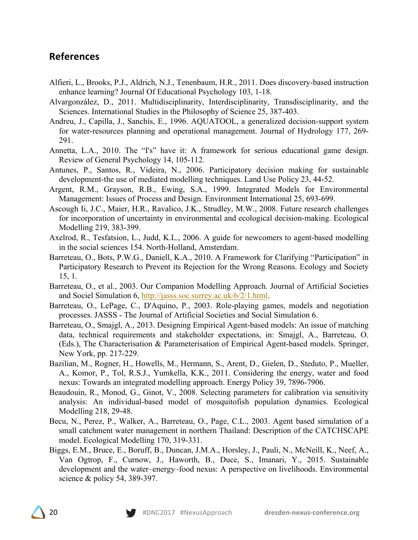#### **References**

- Alfieri, L., Brooks, P.J., Aldrich, N.J., Tenenbaum, H.R., 2011. Does discovery-based instruction enhance learning? Journal Of Educational Psychology 103, 1-18.
- Alvargonzález, D., 2011. Multidisciplinarity, Interdisciplinarity, Transdisciplinarity, and the Sciences. International Studies in the Philosophy of Science 25, 387-403.
- Andreu, J., Capilla, J., Sanchís, E., 1996. AQUATOOL, a generalized decision-support system for water-resources planning and operational management. Journal of Hydrology 177, 269- 291.
- Annetta, L.A., 2010. The "I's" have it: A framework for serious educational game design. Review of General Psychology 14, 105-112.
- Antunes, P., Santos, R., Videira, N., 2006. Participatory decision making for sustainable development-the use of mediated modelling techniques. Land Use Policy 23, 44-52.
- Argent, R.M., Grayson, R.B., Ewing, S.A., 1999. Integrated Models for Environmental Management: Issues of Process and Design. Environment International 25, 693-699.
- Ascough Ii, J.C., Maier, H.R., Ravalico, J.K., Strudley, M.W., 2008. Future research challenges for incorporation of uncertainty in environmental and ecological decision-making. Ecological Modelling 219, 383-399.
- Axelrod, R., Tesfatsion, L., Judd, K.L., 2006. A guide for newcomers to agent-based modelling in the social sciences 154. North-Holland, Amsterdam.
- Barreteau, O., Bots, P.W.G., Daniell, K.A., 2010. A Framework for Clarifying "Participation" in Participatory Research to Prevent its Rejection for the Wrong Reasons. Ecology and Society 15, 1.
- Barreteau, O., et al., 2003. Our Companion Modelling Approach. Journal of Artificial Societies and Sociel Simulation 6, http://jasss.soc.surrey.ac.uk/6/2/1.html.
- Barreteau, O., LePage, C., D'Aquino, P., 2003. Role-playing games, models and negotiation processes. JASSS - The Journal of Artificial Societies and Social Simulation 6.
- Barreteau, O., Smajgl, A., 2013. Designing Empirical Agent-based models: An issue of matching data, technical requirements and stakeholder expectations, in: Smajgl, A., Barreteau, O. (Eds.), The Characterisation & Parameterisation of Empirical Agent-based models. Springer, New York, pp. 217-229.
- Bazilian, M., Rogner, H., Howells, M., Hermann, S., Arent, D., Gielen, D., Steduto, P., Mueller, A., Komor, P., Tol, R.S.J., Yumkella, K.K., 2011. Considering the energy, water and food nexus: Towards an integrated modelling approach. Energy Policy 39, 7896-7906.
- Beaudouin, R., Monod, G., Ginot, V., 2008. Selecting parameters for calibration via sensitivity analysis: An individual-based model of mosquitofish population dynamics. Ecological Modelling 218, 29-48.
- Becu, N., Perez, P., Walker, A., Barreteau, O., Page, C.L., 2003. Agent based simulation of a small catchment water management in northern Thailand: Description of the CATCHSCAPE model. Ecological Modelling 170, 319-331.
- Biggs, E.M., Bruce, E., Boruff, B., Duncan, J.M.A., Horsley, J., Pauli, N., McNeill, K., Neef, A., Van Ogtrop, F., Curnow, J., Haworth, B., Duce, S., Imanari, Y., 2015. Sustainable development and the water–energy–food nexus: A perspective on livelihoods. Environmental science & policy 54, 389-397.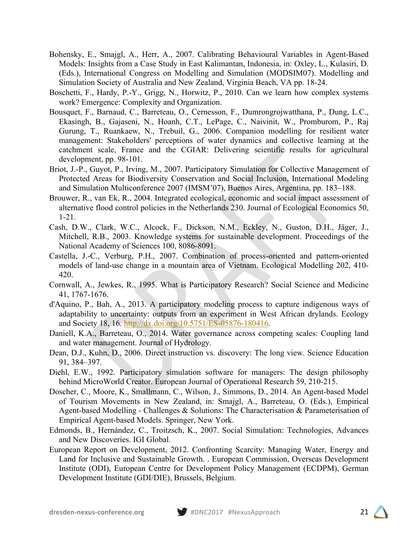- Bohensky, E., Smajgl, A., Herr, A., 2007. Calibrating Behavioural Variables in Agent-Based Models: Insights from a Case Study in East Kalimantan, Indonesia, in: Oxley, L., Kulasiri, D. (Eds.), International Congress on Modelling and Simulation (MODSIM07). Modelling and Simulation Society of Australia and New Zealand, Virginia Beach, VA pp. 18-24.
- Boschetti, F., Hardy, P.-Y., Grigg, N., Horwitz, P., 2010. Can we learn how complex systems work? Emergence: Complexity and Organization.
- Bousquet, F., Barnaud, C., Barreteau, O., Cernesson, F., Dumrongrojwatthana, P., Dung, L.C., Ekasingh, B., Gajaseni, N., Hoanh, C.T., LePage, C., Naivinit, W., Promburom, P., Raj Gurung, T., Ruankaew, N., Trebuil, G., 2006. Companion modelling for resilient water management: Stakeholders' perceptions of water dynamics and collective learning at the catchment scale, France and the CGIAR: Delivering scientific results for agricultural development, pp. 98-101.
- Briot, J.-P., Guyot, P., Irving, M., 2007. Participatory Simulation for Collective Management of Protected Areas for Biodiversity Conservation and Social Inclusion, International Modeling and Simulation Multiconference 2007 (IMSM'07), Buenos Aires, Argentina, pp. 183–188.
- Brouwer, R., van Ek, R., 2004. Integrated ecological, economic and social impact assessment of alternative flood control policies in the Netherlands 230. Journal of Ecological Economics 50, 1-21.
- Cash, D.W., Clark, W.C., Alcock, F., Dickson, N.M., Eckley, N., Guston, D.H., Jäger, J., Mitchell, R.B., 2003. Knowledge systems for sustainable development. Proceedings of the National Academy of Sciences 100, 8086-8091.
- Castella, J.-C., Verburg, P.H., 2007. Combination of process-oriented and pattern-oriented models of land-use change in a mountain area of Vietnam. Ecological Modelling 202, 410- 420.
- Cornwall, A., Jewkes, R., 1995. What is Participatory Research? Social Science and Medicine 41, 1767-1676.
- d'Aquino, P., Bah, A., 2013. A participatory modeling process to capture indigenous ways of adaptability to uncertainty: outputs from an experiment in West African drylands. Ecology and Society 18, 16. http://dx.doi.org/10.5751/ES-05876-180416.
- Daniell, K.A., Barreteau, O., 2014. Water governance across competing scales: Coupling land and water management. Journal of Hydrology.
- Dean, D.J., Kuhn, D., 2006. Direct instruction vs. discovery: The long view. Science Education 91, 384–397.
- Diehl, E.W., 1992. Participatory simulation software for managers: The design philosophy behind MicroWorld Creator. European Journal of Operational Research 59, 210-215.
- Doscher, C., Moore, K., Smallmann, C., Wilson, J., Simmons, D., 2014. An Agent-based Model of Tourism Movements in New Zealand, in: Smajgl, A., Barreteau, O. (Eds.), Empirical Agent-based Modelling - Challenges & Solutions: The Characterisation & Parameterisation of Empirical Agent-based Models. Springer, New York.
- Edmonds, B., Hernández, C., Troitzsch, K., 2007. Social Simulation: Technologies, Advances and New Discoveries. IGI Global.
- European Report on Development, 2012. Confronting Scarcity: Managing Water, Energy and Land for Inclusive and Sustainable Growth. . European Commission, Overseas Development Institute (ODI), European Centre for Development Policy Management (ECDPM), German Development Institute (GDI/DIE), Brussels, Belgium.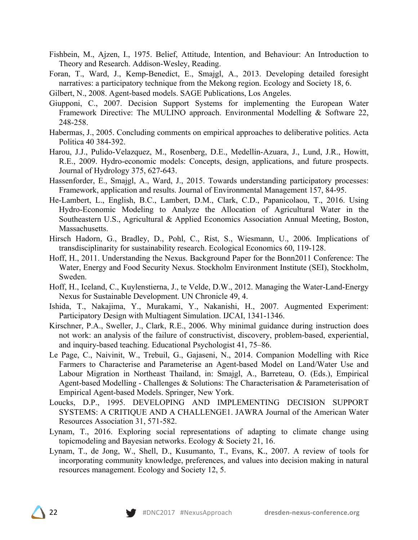- Fishbein, M., Ajzen, I., 1975. Belief, Attitude, Intention, and Behaviour: An Introduction to Theory and Research. Addison-Wesley, Reading.
- Foran, T., Ward, J., Kemp-Benedict, E., Smajgl, A., 2013. Developing detailed foresight narratives: a participatory technique from the Mekong region. Ecology and Society 18, 6.
- Gilbert, N., 2008. Agent-based models. SAGE Publications, Los Angeles.
- Giupponi, C., 2007. Decision Support Systems for implementing the European Water Framework Directive: The MULINO approach. Environmental Modelling & Software 22, 248-258.
- Habermas, J., 2005. Concluding comments on empirical approaches to deliberative politics. Acta Politica 40 384-392.
- Harou, J.J., Pulido-Velazquez, M., Rosenberg, D.E., Medellín-Azuara, J., Lund, J.R., Howitt, R.E., 2009. Hydro-economic models: Concepts, design, applications, and future prospects. Journal of Hydrology 375, 627-643.
- Hassenforder, E., Smajgl, A., Ward, J., 2015. Towards understanding participatory processes: Framework, application and results. Journal of Environmental Management 157, 84-95.
- He-Lambert, L., English, B.C., Lambert, D.M., Clark, C.D., Papanicolaou, T., 2016. Using Hydro-Economic Modeling to Analyze the Allocation of Agricultural Water in the Southeastern U.S., Agricultural & Applied Economics Association Annual Meeting, Boston, Massachusetts.
- Hirsch Hadorn, G., Bradley, D., Pohl, C., Rist, S., Wiesmann, U., 2006. Implications of transdisciplinarity for sustainability research. Ecological Economics 60, 119-128.
- Hoff, H., 2011. Understanding the Nexus. Background Paper for the Bonn2011 Conference: The Water, Energy and Food Security Nexus. Stockholm Environment Institute (SEI), Stockholm, Sweden.
- Hoff, H., Iceland, C., Kuylenstierna, J., te Velde, D.W., 2012. Managing the Water-Land-Energy Nexus for Sustainable Development. UN Chronicle 49, 4.
- Ishida, T., Nakajima, Y., Murakami, Y., Nakanishi, H., 2007. Augmented Experiment: Participatory Design with Multiagent Simulation. IJCAI, 1341-1346.
- Kirschner, P.A., Sweller, J., Clark, R.E., 2006. Why minimal guidance during instruction does not work: an analysis of the failure of constructivist, discovery, problem-based, experiential, and inquiry-based teaching. Educational Psychologist 41, 75–86.
- Le Page, C., Naivinit, W., Trebuil, G., Gajaseni, N., 2014. Companion Modelling with Rice Farmers to Characterise and Parameterise an Agent-based Model on Land/Water Use and Labour Migration in Northeast Thailand, in: Smajgl, A., Barreteau, O. (Eds.), Empirical Agent-based Modelling - Challenges & Solutions: The Characterisation & Parameterisation of Empirical Agent-based Models. Springer, New York.
- Loucks, D.P., 1995. DEVELOPING AND IMPLEMENTING DECISION SUPPORT SYSTEMS: A CRITIQUE AND A CHALLENGE1. JAWRA Journal of the American Water Resources Association 31, 571-582.
- Lynam, T., 2016. Exploring social representations of adapting to climate change using topicmodeling and Bayesian networks. Ecology & Society 21, 16.
- Lynam, T., de Jong, W., Shell, D., Kusumanto, T., Evans, K., 2007. A review of tools for incorporating community knowledge, preferences, and values into decision making in natural resources management. Ecology and Society 12, 5.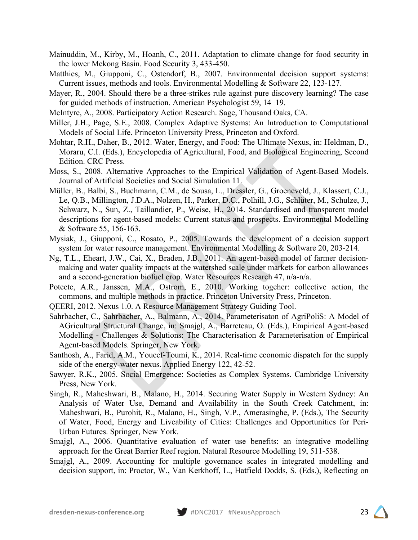- Mainuddin, M., Kirby, M., Hoanh, C., 2011. Adaptation to climate change for food security in the lower Mekong Basin. Food Security 3, 433-450.
- Matthies, M., Giupponi, C., Ostendorf, B., 2007. Environmental decision support systems: Current issues, methods and tools. Environmental Modelling & Software 22, 123-127.
- Mayer, R., 2004. Should there be a three-strikes rule against pure discovery learning? The case for guided methods of instruction. American Psychologist 59, 14–19.
- McIntyre, A., 2008. Participatory Action Research. Sage, Thousand Oaks, CA.
- Miller, J.H., Page, S.E., 2008. Complex Adaptive Systems: An Introduction to Computational Models of Social Life. Princeton University Press, Princeton and Oxford.
- Mohtar, R.H., Daher, B., 2012. Water, Energy, and Food: The Ultimate Nexus, in: Heldman, D., Moraru, C.I. (Eds.), Encyclopedia of Agricultural, Food, and Biological Engineering, Second Edition. CRC Press.
- Moss, S., 2008. Alternative Approaches to the Empirical Validation of Agent-Based Models. Journal of Artificial Societies and Social Simulation 11.
- Müller, B., Balbi, S., Buchmann, C.M., de Sousa, L., Dressler, G., Groeneveld, J., Klassert, C.J., Le, Q.B., Millington, J.D.A., Nolzen, H., Parker, D.C., Polhill, J.G., Schlüter, M., Schulze, J., Schwarz, N., Sun, Z., Taillandier, P., Weise, H., 2014. Standardised and transparent model descriptions for agent-based models: Current status and prospects. Environmental Modelling & Software 55, 156-163.
- Mysiak, J., Giupponi, C., Rosato, P., 2005. Towards the development of a decision support system for water resource management. Environmental Modelling & Software 20, 203-214.
- Ng, T.L., Eheart, J.W., Cai, X., Braden, J.B., 2011. An agent-based model of farmer decisionmaking and water quality impacts at the watershed scale under markets for carbon allowances and a second-generation biofuel crop. Water Resources Research 47, n/a-n/a.
- Poteete, A.R., Janssen, M.A., Ostrom, E., 2010. Working togeher: collective action, the commons, and multiple methods in practice. Princeton University Press, Princeton.
- QEERI, 2012. Nexus 1.0. A Resource Management Strategy Guiding Tool.
- Sahrbacher, C., Sahrbacher, A., Balmann, A., 2014. Parameterisaton of AgriPoliS: A Model of AGricultural Structural Change, in: Smajgl, A., Barreteau, O. (Eds.), Empirical Agent-based Modelling - Challenges & Solutions: The Characterisation & Parameterisation of Empirical Agent-based Models. Springer, New York.
- Santhosh, A., Farid, A.M., Youcef-Toumi, K., 2014. Real-time economic dispatch for the supply side of the energy-water nexus. Applied Energy 122, 42-52.
- Sawyer, R.K., 2005. Social Emergence: Societies as Complex Systems. Cambridge University Press, New York.
- Singh, R., Maheshwari, B., Malano, H., 2014. Securing Water Supply in Western Sydney: An Analysis of Water Use, Demand and Availability in the South Creek Catchment, in: Maheshwari, B., Purohit, R., Malano, H., Singh, V.P., Amerasinghe, P. (Eds.), The Security of Water, Food, Energy and Liveability of Cities: Challenges and Opportunities for Peri-Urban Futures. Springer, New York.
- Smajgl, A., 2006. Quantitative evaluation of water use benefits: an integrative modelling approach for the Great Barrier Reef region. Natural Resource Modelling 19, 511-538.
- Smajgl, A., 2009. Accounting for multiple governance scales in integrated modelling and decision support, in: Proctor, W., Van Kerkhoff, L., Hatfield Dodds, S. (Eds.), Reflecting on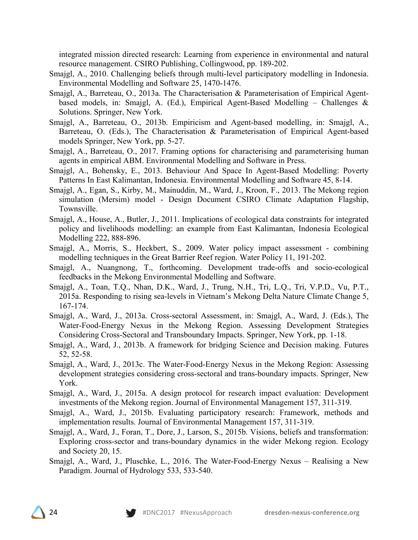integrated mission directed research: Learning from experience in environmental and natural resource management. CSIRO Publishing, Collingwood, pp. 189-202.

- Smajgl, A., 2010. Challenging beliefs through multi-level participatory modelling in Indonesia. Environmental Modelling and Software 25, 1470-1476.
- Smajgl, A., Barreteau, O., 2013a. The Characterisation & Parameterisation of Empirical Agentbased models, in: Smajgl, A. (Ed.), Empirical Agent-Based Modelling – Challenges & Solutions. Springer, New York.
- Smajgl, A., Barreteau, O., 2013b. Empiricism and Agent-based modelling, in: Smajgl, A., Barreteau, O. (Eds.), The Characterisation & Parameterisation of Empirical Agent-based models Springer, New York, pp. 5-27.
- Smajgl, A., Barreteau, O., 2017. Framing options for characterising and parameterising human agents in empirical ABM. Environmental Modelling and Software in Press.
- Smajgl, A., Bohensky, E., 2013. Behaviour And Space In Agent-Based Modelling: Poverty Patterns In East Kalimantan, Indonesia. Environmental Modelling and Software 45, 8-14.
- Smajgl, A., Egan, S., Kirby, M., Mainuddin, M., Ward, J., Kroon, F., 2013. The Mekong region simulation (Mersim) model - Design Document CSIRO Climate Adaptation Flagship, Townsville.
- Smajgl, A., House, A., Butler, J., 2011. Implications of ecological data constraints for integrated policy and livelihoods modelling: an example from East Kalimantan, Indonesia Ecological Modelling 222, 888-896.
- Smajgl, A., Morris, S., Heckbert, S., 2009. Water policy impact assessment combining modelling techniques in the Great Barrier Reef region. Water Policy 11, 191-202.
- Smajgl, A., Nuangnong, T., forthcoming. Development trade-offs and socio-ecological feedbacks in the Mekong Environmental Modelling and Software.
- Smajgl, A., Toan, T.Q., Nhan, D.K., Ward, J., Trung, N.H., Tri, L.Q., Tri, V.P.D., Vu, P.T., 2015a. Responding to rising sea-levels in Vietnam's Mekong Delta Nature Climate Change 5, 167-174.
- Smajgl, A., Ward, J., 2013a. Cross-sectoral Assessment, in: Smajgl, A., Ward, J. (Eds.), The Water-Food-Energy Nexus in the Mekong Region. Assessing Development Strategies Considering Cross-Sectoral and Transboundary Impacts. Springer, New York, pp. 1-18.
- Smajgl, A., Ward, J., 2013b. A framework for bridging Science and Decision making. Futures 52, 52-58.
- Smajgl, A., Ward, J., 2013c. The Water-Food-Energy Nexus in the Mekong Region: Assessing development strategies considering cross-sectoral and trans-boundary impacts. Springer, New York.
- Smajgl, A., Ward, J., 2015a. A design protocol for research impact evaluation: Development investments of the Mekong region. Journal of Environmental Management 157, 311-319.
- Smajgl, A., Ward, J., 2015b. Evaluating participatory research: Framework, methods and implementation results. Journal of Environmental Management 157, 311-319.
- Smajgl, A., Ward, J., Foran, T., Dore, J., Larson, S., 2015b. Visions, beliefs and transformation: Exploring cross-sector and trans-boundary dynamics in the wider Mekong region. Ecology and Society 20, 15.
- Smajgl, A., Ward, J., Pluschke, L., 2016. The Water-Food-Energy Nexus Realising a New Paradigm. Journal of Hydrology 533, 533-540.